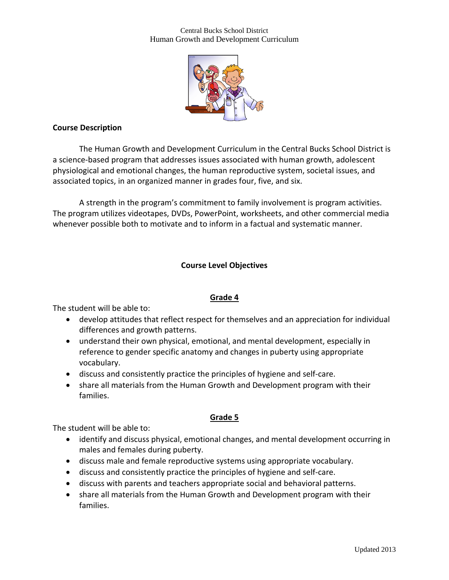#### Central Bucks School District Human Growth and Development Curriculum



### **Course Description**

The Human Growth and Development Curriculum in the Central Bucks School District is a science-based program that addresses issues associated with human growth, adolescent physiological and emotional changes, the human reproductive system, societal issues, and associated topics, in an organized manner in grades four, five, and six.

A strength in the program's commitment to family involvement is program activities. The program utilizes videotapes, DVDs, PowerPoint, worksheets, and other commercial media whenever possible both to motivate and to inform in a factual and systematic manner.

## **Course Level Objectives**

### **Grade 4**

The student will be able to:

- develop attitudes that reflect respect for themselves and an appreciation for individual differences and growth patterns.
- understand their own physical, emotional, and mental development, especially in reference to gender specific anatomy and changes in puberty using appropriate vocabulary.
- discuss and consistently practice the principles of hygiene and self-care.
- share all materials from the Human Growth and Development program with their families.

### **Grade 5**

The student will be able to:

- identify and discuss physical, emotional changes, and mental development occurring in males and females during puberty.
- discuss male and female reproductive systems using appropriate vocabulary.
- discuss and consistently practice the principles of hygiene and self-care.
- discuss with parents and teachers appropriate social and behavioral patterns.
- share all materials from the Human Growth and Development program with their families.